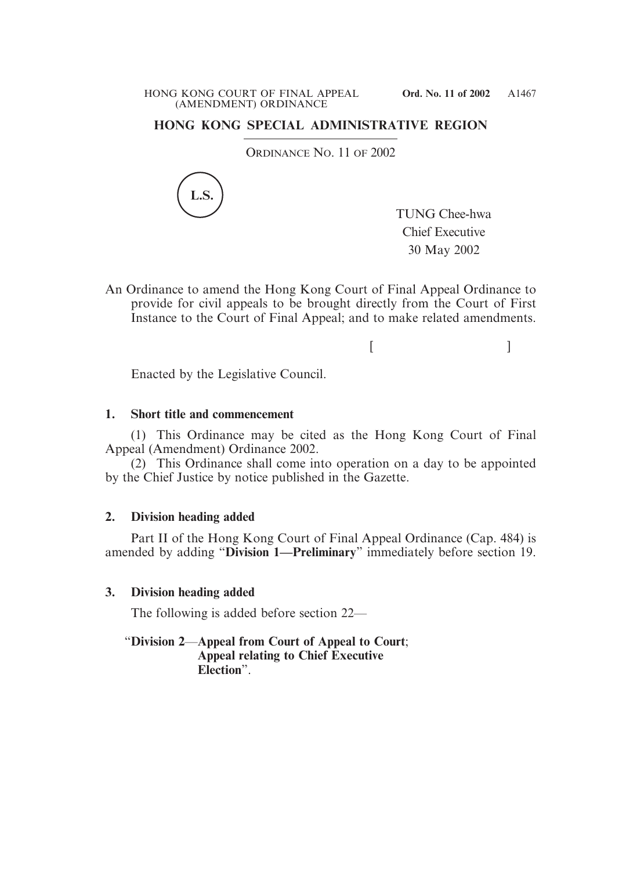# **HONG KONG SPECIAL ADMINISTRATIVE REGION**

ORDINANCE NO. 11 OF 2002



TUNG Chee-hwa Chief Executive 30 May 2002

An Ordinance to amend the Hong Kong Court of Final Appeal Ordinance to provide for civil appeals to be brought directly from the Court of First Instance to the Court of Final Appeal; and to make related amendments.

 $[$   $]$ 

Enacted by the Legislative Council.

### **1. Short title and commencement**

(1) This Ordinance may be cited as the Hong Kong Court of Final Appeal (Amendment) Ordinance 2002.

(2) This Ordinance shall come into operation on a day to be appointed by the Chief Justice by notice published in the Gazette.

### **2. Division heading added**

Part II of the Hong Kong Court of Final Appeal Ordinance (Cap. 484) is amended by adding "**Division 1—Preliminary**" immediately before section 19.

# **3. Division heading added**

The following is added before section 22—

# "**Division 2**—**Appeal from Court of Appeal to Court**; **Appeal relating to Chief Executive Election**".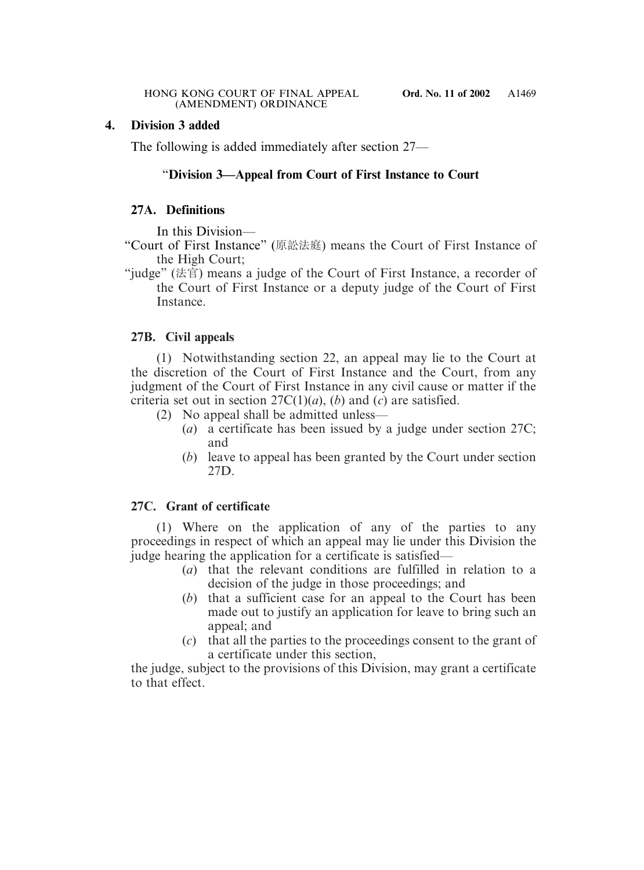#### **4. Division 3 added**

The following is added immediately after section 27—

## "**Division 3—Appeal from Court of First Instance to Court**

### **27A. Definitions**

In this Division—

- "Court of First Instance" (原訟法庭) means the Court of First Instance of the High Court;
- "judge" (法官) means a judge of the Court of First Instance, a recorder of the Court of First Instance or a deputy judge of the Court of First Instance.

# **27B. Civil appeals**

(1) Notwithstanding section 22, an appeal may lie to the Court at the discretion of the Court of First Instance and the Court, from any judgment of the Court of First Instance in any civil cause or matter if the criteria set out in section 27C(1)(*a*), (*b*) and (*c*) are satisfied.

- (2) No appeal shall be admitted unless—
	- (*a*) a certificate has been issued by a judge under section 27C; and
	- (*b*) leave to appeal has been granted by the Court under section 27D.

# **27C. Grant of certificate**

(1) Where on the application of any of the parties to any proceedings in respect of which an appeal may lie under this Division the judge hearing the application for a certificate is satisfied—

- (*a*) that the relevant conditions are fulfilled in relation to a decision of the judge in those proceedings; and
- (*b*) that a sufficient case for an appeal to the Court has been made out to justify an application for leave to bring such an appeal; and
- (*c*) that all the parties to the proceedings consent to the grant of a certificate under this section,

the judge, subject to the provisions of this Division, may grant a certificate to that effect.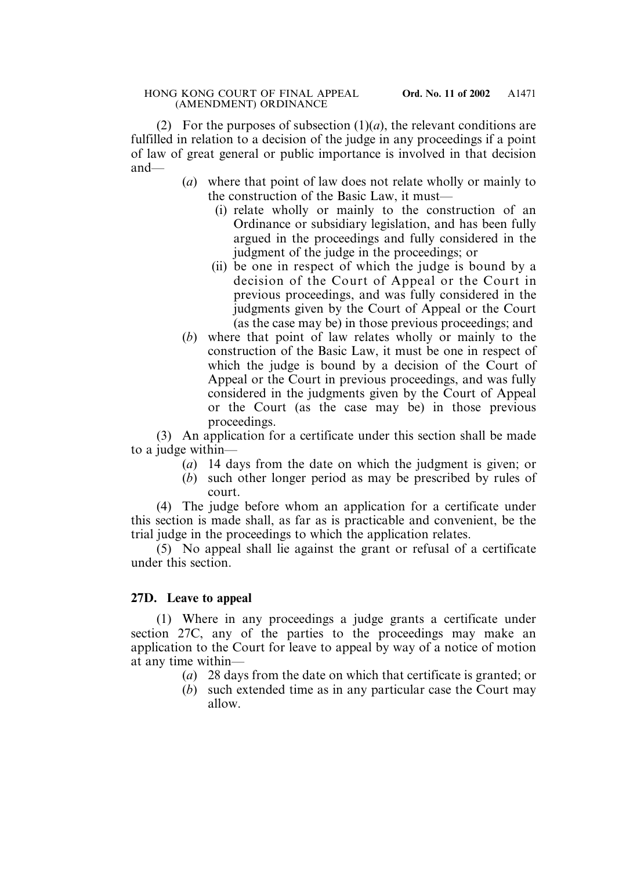(2) For the purposes of subsection  $(1)(a)$ , the relevant conditions are fulfilled in relation to a decision of the judge in any proceedings if a point of law of great general or public importance is involved in that decision and—

- (*a*) where that point of law does not relate wholly or mainly to the construction of the Basic Law, it must—
	- (i) relate wholly or mainly to the construction of an Ordinance or subsidiary legislation, and has been fully argued in the proceedings and fully considered in the judgment of the judge in the proceedings; or
	- (ii) be one in respect of which the judge is bound by a decision of the Court of Appeal or the Court in previous proceedings, and was fully considered in the judgments given by the Court of Appeal or the Court (as the case may be) in those previous proceedings; and
- (*b*) where that point of law relates wholly or mainly to the construction of the Basic Law, it must be one in respect of which the judge is bound by a decision of the Court of Appeal or the Court in previous proceedings, and was fully considered in the judgments given by the Court of Appeal or the Court (as the case may be) in those previous proceedings.

(3) An application for a certificate under this section shall be made to a judge within—

- (*a*) 14 days from the date on which the judgment is given; or
- (*b*) such other longer period as may be prescribed by rules of court.

(4) The judge before whom an application for a certificate under this section is made shall, as far as is practicable and convenient, be the trial judge in the proceedings to which the application relates.

(5) No appeal shall lie against the grant or refusal of a certificate under this section.

# **27D. Leave to appeal**

(1) Where in any proceedings a judge grants a certificate under section 27C, any of the parties to the proceedings may make an application to the Court for leave to appeal by way of a notice of motion at any time within—

- (*a*) 28 days from the date on which that certificate is granted; or
- (*b*) such extended time as in any particular case the Court may allow.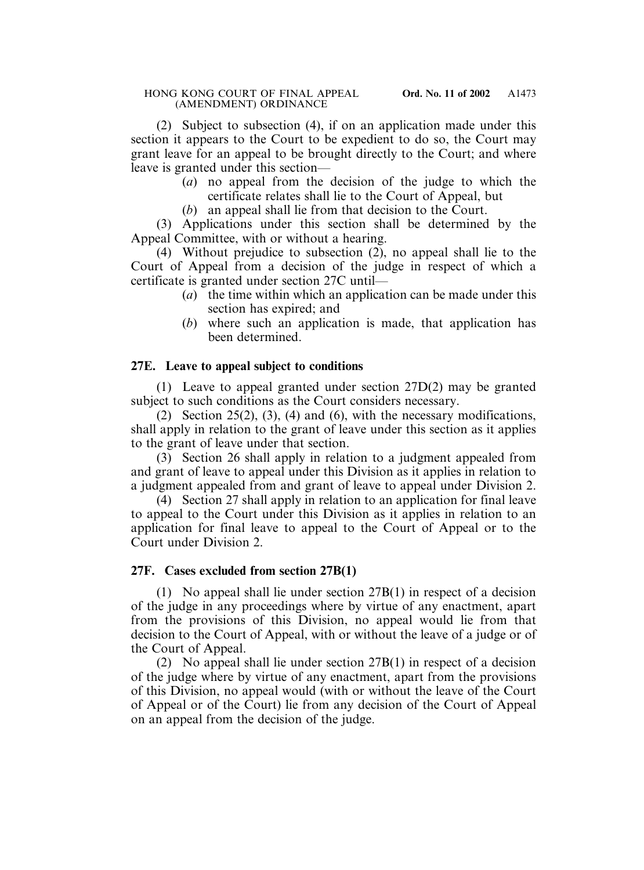(2) Subject to subsection (4), if on an application made under this section it appears to the Court to be expedient to do so, the Court may grant leave for an appeal to be brought directly to the Court; and where leave is granted under this section—

- (*a*) no appeal from the decision of the judge to which the certificate relates shall lie to the Court of Appeal, but
- (*b*) an appeal shall lie from that decision to the Court.

(3) Applications under this section shall be determined by the Appeal Committee, with or without a hearing.

(4) Without prejudice to subsection (2), no appeal shall lie to the Court of Appeal from a decision of the judge in respect of which a certificate is granted under section 27C until—

- (*a*) the time within which an application can be made under this section has expired; and
- (*b*) where such an application is made, that application has been determined.

# **27E. Leave to appeal subject to conditions**

(1) Leave to appeal granted under section 27D(2) may be granted subject to such conditions as the Court considers necessary.

(2) Section 25(2), (3), (4) and (6), with the necessary modifications, shall apply in relation to the grant of leave under this section as it applies to the grant of leave under that section.

(3) Section 26 shall apply in relation to a judgment appealed from and grant of leave to appeal under this Division as it applies in relation to a judgment appealed from and grant of leave to appeal under Division 2.

(4) Section 27 shall apply in relation to an application for final leave to appeal to the Court under this Division as it applies in relation to an application for final leave to appeal to the Court of Appeal or to the Court under Division 2.

# **27F. Cases excluded from section 27B(1)**

(1) No appeal shall lie under section 27B(1) in respect of a decision of the judge in any proceedings where by virtue of any enactment, apart from the provisions of this Division, no appeal would lie from that decision to the Court of Appeal, with or without the leave of a judge or of the Court of Appeal.

(2) No appeal shall lie under section 27B(1) in respect of a decision of the judge where by virtue of any enactment, apart from the provisions of this Division, no appeal would (with or without the leave of the Court of Appeal or of the Court) lie from any decision of the Court of Appeal on an appeal from the decision of the judge.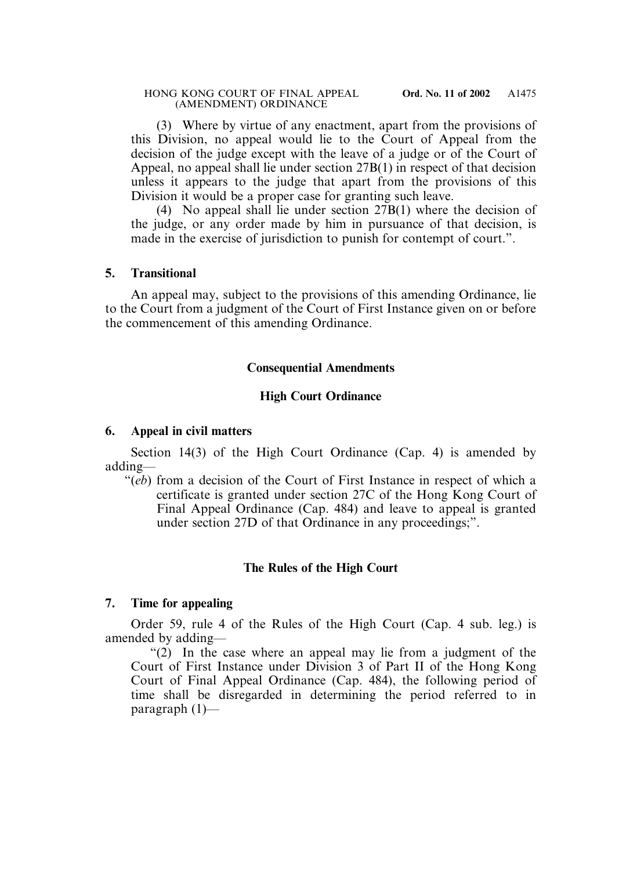(3) Where by virtue of any enactment, apart from the provisions of this Division, no appeal would lie to the Court of Appeal from the decision of the judge except with the leave of a judge or of the Court of Appeal, no appeal shall lie under section 27B(1) in respect of that decision unless it appears to the judge that apart from the provisions of this Division it would be a proper case for granting such leave.

(4) No appeal shall lie under section 27B(1) where the decision of the judge, or any order made by him in pursuance of that decision, is made in the exercise of jurisdiction to punish for contempt of court.".

#### **5. Transitional**

An appeal may, subject to the provisions of this amending Ordinance, lie to the Court from a judgment of the Court of First Instance given on or before the commencement of this amending Ordinance.

#### **Consequential Amendments**

#### **High Court Ordinance**

#### **6. Appeal in civil matters**

Section 14(3) of the High Court Ordinance (Cap. 4) is amended by adding—

"(*eb*) from a decision of the Court of First Instance in respect of which a certificate is granted under section 27C of the Hong Kong Court of Final Appeal Ordinance (Cap. 484) and leave to appeal is granted under section 27D of that Ordinance in any proceedings;".

#### **The Rules of the High Court**

#### **7. Time for appealing**

Order 59, rule 4 of the Rules of the High Court (Cap. 4 sub. leg.) is amended by adding—

"(2) In the case where an appeal may lie from a judgment of the Court of First Instance under Division 3 of Part II of the Hong Kong Court of Final Appeal Ordinance (Cap. 484), the following period of time shall be disregarded in determining the period referred to in paragraph (1)—